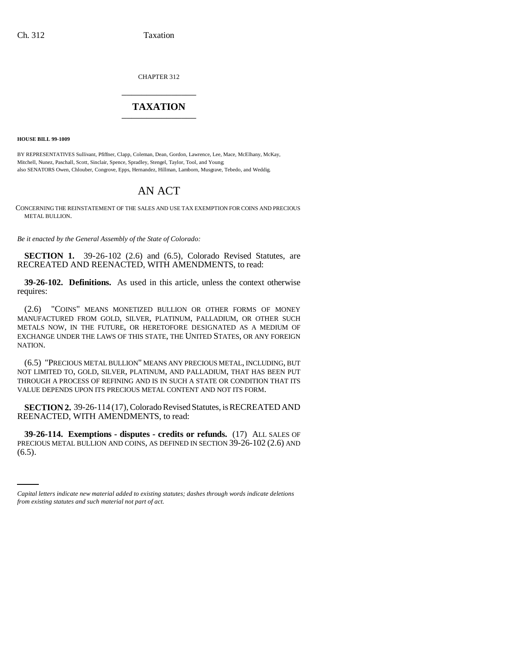CHAPTER 312 \_\_\_\_\_\_\_\_\_\_\_\_\_\_\_

## **TAXATION** \_\_\_\_\_\_\_\_\_\_\_\_\_\_\_

**HOUSE BILL 99-1009**

BY REPRESENTATIVES Sullivant, Pfiffner, Clapp, Coleman, Dean, Gordon, Lawrence, Lee, Mace, McElhany, McKay, Mitchell, Nunez, Paschall, Scott, Sinclair, Spence, Spradley, Stengel, Taylor, Tool, and Young; also SENATORS Owen, Chlouber, Congrove, Epps, Hernandez, Hillman, Lamborn, Musgrave, Tebedo, and Weddig.

## AN ACT

CONCERNING THE REINSTATEMENT OF THE SALES AND USE TAX EXEMPTION FOR COINS AND PRECIOUS METAL BULLION.

*Be it enacted by the General Assembly of the State of Colorado:*

**SECTION 1.** 39-26-102 (2.6) and (6.5), Colorado Revised Statutes, are RECREATED AND REENACTED, WITH AMENDMENTS, to read:

**39-26-102. Definitions.** As used in this article, unless the context otherwise requires:

(2.6) "COINS" MEANS MONETIZED BULLION OR OTHER FORMS OF MONEY MANUFACTURED FROM GOLD, SILVER, PLATINUM, PALLADIUM, OR OTHER SUCH METALS NOW, IN THE FUTURE, OR HERETOFORE DESIGNATED AS A MEDIUM OF EXCHANGE UNDER THE LAWS OF THIS STATE, THE UNITED STATES, OR ANY FOREIGN NATION.

(6.5) "PRECIOUS METAL BULLION" MEANS ANY PRECIOUS METAL, INCLUDING, BUT NOT LIMITED TO, GOLD, SILVER, PLATINUM, AND PALLADIUM, THAT HAS BEEN PUT THROUGH A PROCESS OF REFINING AND IS IN SUCH A STATE OR CONDITION THAT ITS VALUE DEPENDS UPON ITS PRECIOUS METAL CONTENT AND NOT ITS FORM.

**SECTION 2.** 39-26-114 (17), Colorado Revised Statutes, is RECREATED AND REENACTED, WITH AMENDMENTS, to read:

PRECIOUS METAL BULLION AND COINS, AS DEFINED IN SECTION 39-26-102 (2.6) AND **39-26-114. Exemptions - disputes - credits or refunds.** (17) ALL SALES OF  $(6.5)$ .

*Capital letters indicate new material added to existing statutes; dashes through words indicate deletions from existing statutes and such material not part of act.*